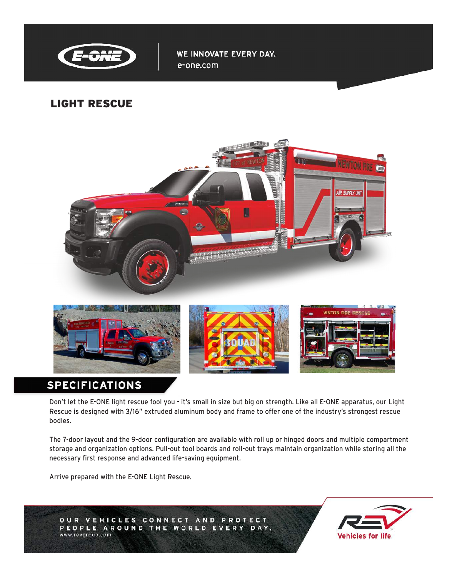

WE INNOVATE EVERY DAY. e-one.com

## LIGHT RESCUE



# **SPECIFICATIONS**

Don't let the E-ONE light rescue fool you - it's small in size but big on strength. Like all E-ONE apparatus, our Light Rescue is designed with 3/16" extruded aluminum body and frame to offer one of the industry's strongest rescue bodies.

The 7-door layout and the 9-door configuration are available with roll up or hinged doors and multiple compartment storage and organization options. Pull-out tool boards and roll-out trays maintain organization while storing all the necessary first response and advanced life-saving equipment.

Arrive prepared with the E-ONE Light Rescue.



OUR VEHICLES CONNECT AND PROTECT PEOPLE AROUND THE WORLD EVERY DAY. www.revgroup.com